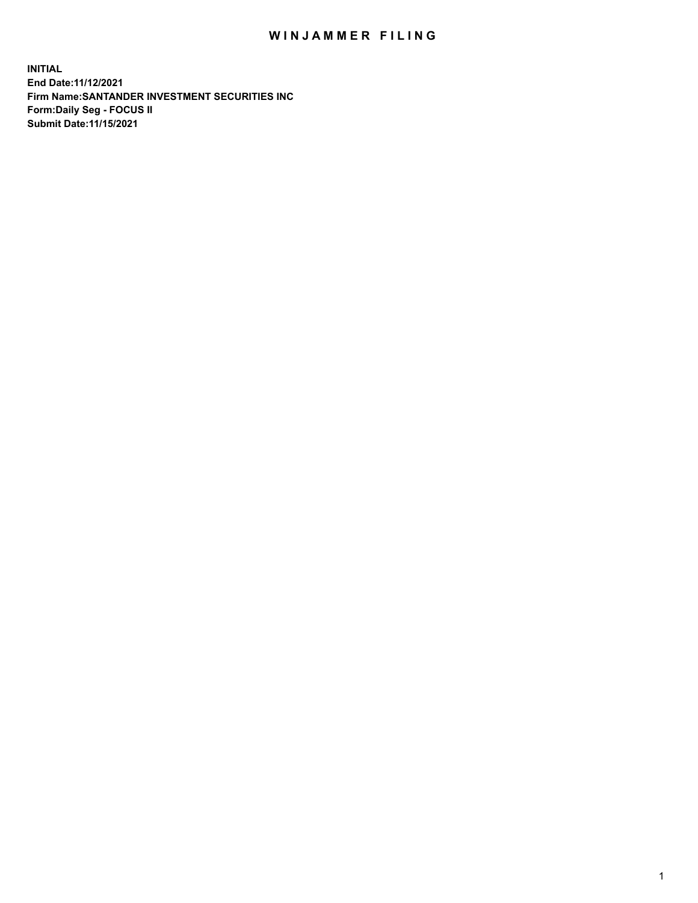## WIN JAMMER FILING

**INITIAL End Date:11/12/2021 Firm Name:SANTANDER INVESTMENT SECURITIES INC Form:Daily Seg - FOCUS II Submit Date:11/15/2021**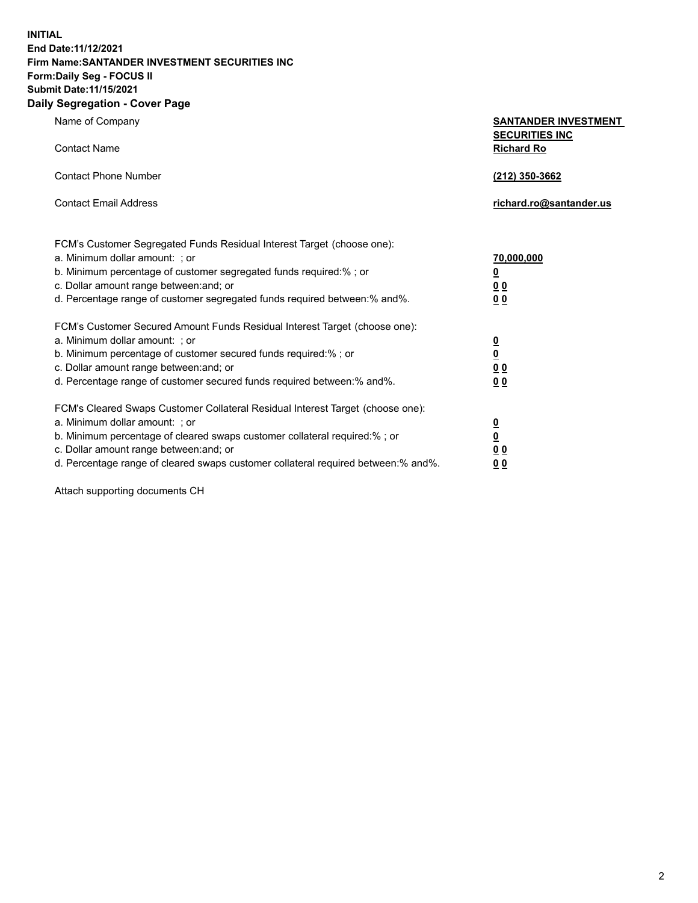**INITIAL End Date:11/12/2021 Firm Name:SANTANDER INVESTMENT SECURITIES INC Form:Daily Seg - FOCUS II Submit Date:11/15/2021 Daily Segregation - Cover Page**

| Name of Company                                                                     | <b>SANTANDER INVESTMENT</b>                |  |
|-------------------------------------------------------------------------------------|--------------------------------------------|--|
| <b>Contact Name</b>                                                                 | <b>SECURITIES INC</b><br><b>Richard Ro</b> |  |
| <b>Contact Phone Number</b>                                                         | (212) 350-3662                             |  |
| <b>Contact Email Address</b>                                                        | richard.ro@santander.us                    |  |
| FCM's Customer Segregated Funds Residual Interest Target (choose one):              |                                            |  |
| a. Minimum dollar amount: ; or                                                      | 70,000,000                                 |  |
| b. Minimum percentage of customer segregated funds required:% ; or                  | $\underline{\mathbf{0}}$                   |  |
| c. Dollar amount range between: and; or                                             | 0 <sub>0</sub>                             |  |
| d. Percentage range of customer segregated funds required between:% and%.           | 0 <sub>0</sub>                             |  |
| FCM's Customer Secured Amount Funds Residual Interest Target (choose one):          |                                            |  |
| a. Minimum dollar amount: ; or                                                      | $\frac{0}{0}$                              |  |
| b. Minimum percentage of customer secured funds required:%; or                      |                                            |  |
| c. Dollar amount range between: and; or                                             | 0 <sub>0</sub>                             |  |
| d. Percentage range of customer secured funds required between:% and%.              | 0 <sub>0</sub>                             |  |
| FCM's Cleared Swaps Customer Collateral Residual Interest Target (choose one):      |                                            |  |
| a. Minimum dollar amount: ; or                                                      | $\overline{\mathbf{0}}$                    |  |
| b. Minimum percentage of cleared swaps customer collateral required:%; or           | $\underline{\mathbf{0}}$                   |  |
| c. Dollar amount range between: and; or                                             | 0 <sub>0</sub>                             |  |
| d. Percentage range of cleared swaps customer collateral required between: % and %. | 0 <sub>0</sub>                             |  |

Attach supporting documents CH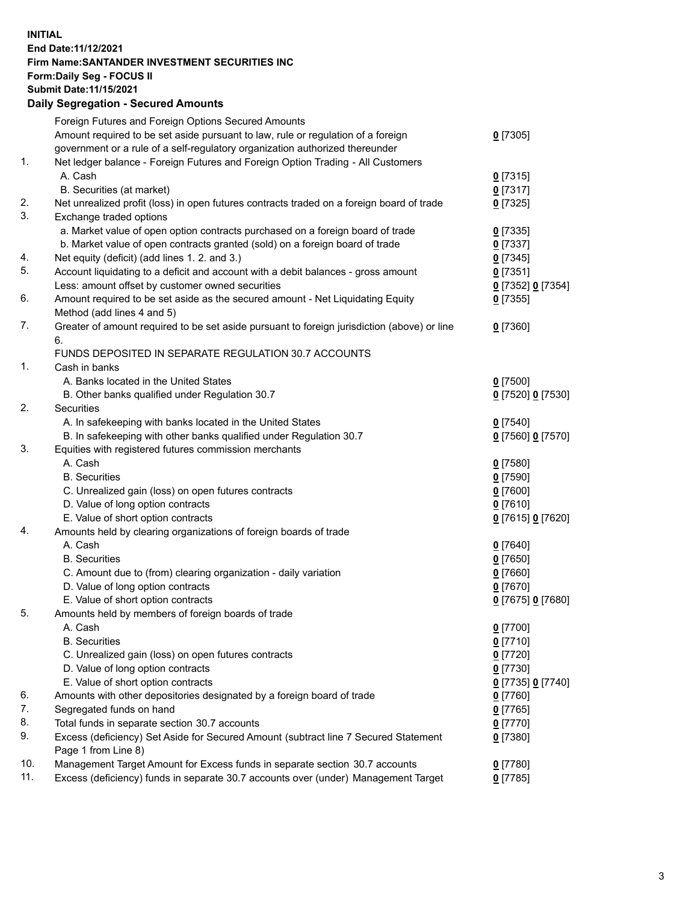## **INITIAL End Date:11/12/2021 Firm Name:SANTANDER INVESTMENT SECURITIES INC Form:Daily Seg - FOCUS II Submit Date:11/15/2021 Daily Segregation - Secured Amounts**

|     | Foreign Futures and Foreign Options Secured Amounts                                         |                   |
|-----|---------------------------------------------------------------------------------------------|-------------------|
|     | Amount required to be set aside pursuant to law, rule or regulation of a foreign            | $0$ [7305]        |
|     | government or a rule of a self-regulatory organization authorized thereunder                |                   |
| 1.  | Net ledger balance - Foreign Futures and Foreign Option Trading - All Customers             |                   |
|     | A. Cash                                                                                     | $0$ [7315]        |
|     | B. Securities (at market)                                                                   | $0$ [7317]        |
| 2.  | Net unrealized profit (loss) in open futures contracts traded on a foreign board of trade   | $0$ [7325]        |
| 3.  | Exchange traded options                                                                     |                   |
|     | a. Market value of open option contracts purchased on a foreign board of trade              | $0$ [7335]        |
|     | b. Market value of open contracts granted (sold) on a foreign board of trade                | $0$ [7337]        |
| 4.  | Net equity (deficit) (add lines 1. 2. and 3.)                                               | $0$ [7345]        |
| 5.  | Account liquidating to a deficit and account with a debit balances - gross amount           | $0$ [7351]        |
|     | Less: amount offset by customer owned securities                                            | 0 [7352] 0 [7354] |
| 6.  | Amount required to be set aside as the secured amount - Net Liquidating Equity              | $0$ [7355]        |
|     | Method (add lines 4 and 5)                                                                  |                   |
| 7.  | Greater of amount required to be set aside pursuant to foreign jurisdiction (above) or line | $0$ [7360]        |
|     | 6.                                                                                          |                   |
|     | FUNDS DEPOSITED IN SEPARATE REGULATION 30.7 ACCOUNTS                                        |                   |
| 1.  | Cash in banks                                                                               |                   |
|     | A. Banks located in the United States                                                       | $0$ [7500]        |
|     | B. Other banks qualified under Regulation 30.7                                              | 0 [7520] 0 [7530] |
| 2.  | Securities                                                                                  |                   |
|     | A. In safekeeping with banks located in the United States                                   | $0$ [7540]        |
|     | B. In safekeeping with other banks qualified under Regulation 30.7                          | 0 [7560] 0 [7570] |
| 3.  | Equities with registered futures commission merchants                                       |                   |
|     | A. Cash                                                                                     | $0$ [7580]        |
|     | <b>B.</b> Securities                                                                        | $0$ [7590]        |
|     | C. Unrealized gain (loss) on open futures contracts                                         | $0$ [7600]        |
|     | D. Value of long option contracts                                                           | $0$ [7610]        |
|     | E. Value of short option contracts                                                          | 0 [7615] 0 [7620] |
| 4.  | Amounts held by clearing organizations of foreign boards of trade                           |                   |
|     | A. Cash                                                                                     | $0$ [7640]        |
|     | <b>B.</b> Securities                                                                        | $0$ [7650]        |
|     | C. Amount due to (from) clearing organization - daily variation                             | $0$ [7660]        |
|     | D. Value of long option contracts                                                           | $0$ [7670]        |
|     | E. Value of short option contracts                                                          | 0 [7675] 0 [7680] |
| 5.  | Amounts held by members of foreign boards of trade                                          |                   |
|     | A. Cash                                                                                     | $0$ [7700]        |
|     | <b>B.</b> Securities                                                                        | $0$ [7710]        |
|     | C. Unrealized gain (loss) on open futures contracts                                         | $0$ [7720]        |
|     | D. Value of long option contracts                                                           | $0$ [7730]        |
|     | E. Value of short option contracts                                                          | 0 [7735] 0 [7740] |
| 6.  | Amounts with other depositories designated by a foreign board of trade                      | 0 [7760]          |
| 7.  | Segregated funds on hand                                                                    | $0$ [7765]        |
| 8.  | Total funds in separate section 30.7 accounts                                               | 0 [7770]          |
| 9.  | Excess (deficiency) Set Aside for Secured Amount (subtract line 7 Secured Statement         | $0$ [7380]        |
|     | Page 1 from Line 8)                                                                         |                   |
| 10. | Management Target Amount for Excess funds in separate section 30.7 accounts                 | $0$ [7780]        |
| 11. | Excess (deficiency) funds in separate 30.7 accounts over (under) Management Target          | $0$ [7785]        |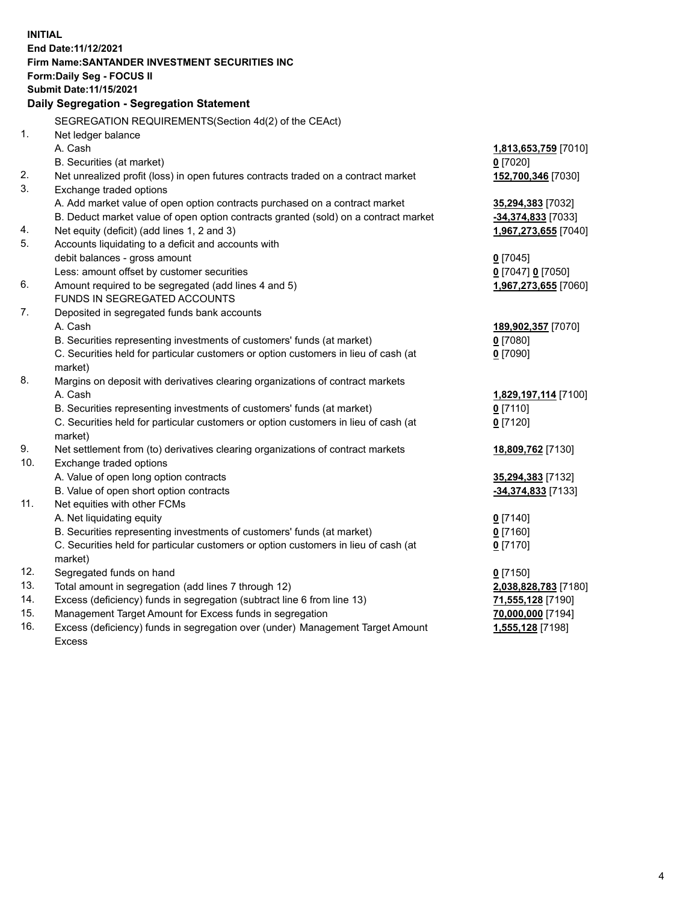| <b>INITIAL</b> |                                                                                     |                      |
|----------------|-------------------------------------------------------------------------------------|----------------------|
|                | End Date: 11/12/2021                                                                |                      |
|                | Firm Name: SANTANDER INVESTMENT SECURITIES INC                                      |                      |
|                | Form: Daily Seg - FOCUS II                                                          |                      |
|                | Submit Date: 11/15/2021                                                             |                      |
|                | Daily Segregation - Segregation Statement                                           |                      |
|                |                                                                                     |                      |
|                | SEGREGATION REQUIREMENTS(Section 4d(2) of the CEAct)                                |                      |
| 1.             | Net ledger balance                                                                  |                      |
|                | A. Cash                                                                             | 1,813,653,759 [7010] |
|                | B. Securities (at market)                                                           | $0$ [7020]           |
| 2.             | Net unrealized profit (loss) in open futures contracts traded on a contract market  | 152,700,346 [7030]   |
| 3.             | Exchange traded options                                                             |                      |
|                | A. Add market value of open option contracts purchased on a contract market         | 35,294,383 [7032]    |
|                | B. Deduct market value of open option contracts granted (sold) on a contract market | $-34,374,833$ [7033] |
| 4.             | Net equity (deficit) (add lines 1, 2 and 3)                                         | 1,967,273,655 [7040] |
| 5.             | Accounts liquidating to a deficit and accounts with                                 |                      |
|                | debit balances - gross amount                                                       | $0$ [7045]           |
|                | Less: amount offset by customer securities                                          | 0 [7047] 0 [7050]    |
| 6.             | Amount required to be segregated (add lines 4 and 5)                                | 1,967,273,655 [7060] |
|                | FUNDS IN SEGREGATED ACCOUNTS                                                        |                      |
| 7.             | Deposited in segregated funds bank accounts                                         |                      |
|                | A. Cash                                                                             | 189,902,357 [7070]   |
|                | B. Securities representing investments of customers' funds (at market)              | $0$ [7080]           |
|                | C. Securities held for particular customers or option customers in lieu of cash (at | $0$ [7090]           |
|                | market)                                                                             |                      |
| 8.             | Margins on deposit with derivatives clearing organizations of contract markets      |                      |
|                | A. Cash                                                                             | 1,829,197,114 [7100] |
|                | B. Securities representing investments of customers' funds (at market)              | $0$ [7110]           |
|                | C. Securities held for particular customers or option customers in lieu of cash (at | $0$ [7120]           |
|                | market)                                                                             |                      |
| 9.             | Net settlement from (to) derivatives clearing organizations of contract markets     | 18,809,762 [7130]    |
| 10.            | Exchange traded options                                                             |                      |
|                | A. Value of open long option contracts                                              | 35,294,383 [7132]    |
|                | B. Value of open short option contracts                                             | -34,374,833 [7133]   |
| 11.            | Net equities with other FCMs                                                        |                      |
|                | A. Net liquidating equity                                                           | $0$ [7140]           |
|                | B. Securities representing investments of customers' funds (at market)              | $0$ [7160]           |
|                | C. Securities held for particular customers or option customers in lieu of cash (at | $0$ [7170]           |
|                | market)                                                                             |                      |
| 12.            | Segregated funds on hand                                                            | $0$ [7150]           |
| 13.            | Total amount in segregation (add lines 7 through 12)                                | 2,038,828,783 [7180] |
| 14.            | Excess (deficiency) funds in segregation (subtract line 6 from line 13)             | 71,555,128 [7190]    |
| 15.            | Management Target Amount for Excess funds in segregation                            | 70,000,000 [7194]    |
| 16.            | Excess (deficiency) funds in segregation over (under) Management Target Amount      | 1,555,128 [7198]     |
|                | <b>Excess</b>                                                                       |                      |
|                |                                                                                     |                      |